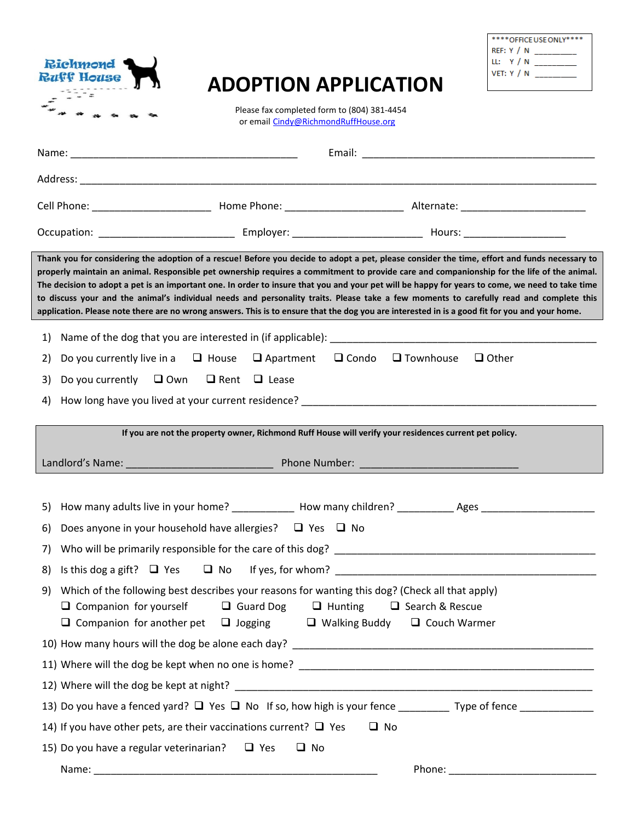| <b>Richmond</b><br><b>Ruff House</b> |  |  |  |
|--------------------------------------|--|--|--|
|                                      |  |  |  |
|                                      |  |  |  |

## **ADOPTION APPLICATION**

| **** OFFICE USE ON IY**** |  |  |  |  |  |  |
|---------------------------|--|--|--|--|--|--|
| REF: Y / N                |  |  |  |  |  |  |
| LL: $Y/N$                 |  |  |  |  |  |  |
| VET: $Y / N$              |  |  |  |  |  |  |
|                           |  |  |  |  |  |  |

Please fax completed form to (804) 381-4454 or email [Cindy@RichmondRuffHouse.org](mailto:Cindy@RichmondRuffHouse.org)

| Email: <u>Alexander Alexander and Alexander Alexander and Alexander and Alexander and Alexander and Alexander and Alexander and Alexander and Alexander and Alexander and Alexander and Alexander and Alexander and Alexander an</u>                                                                                                                                                                                                                                                                                                                                                                                                                                                                                                        |
|---------------------------------------------------------------------------------------------------------------------------------------------------------------------------------------------------------------------------------------------------------------------------------------------------------------------------------------------------------------------------------------------------------------------------------------------------------------------------------------------------------------------------------------------------------------------------------------------------------------------------------------------------------------------------------------------------------------------------------------------|
|                                                                                                                                                                                                                                                                                                                                                                                                                                                                                                                                                                                                                                                                                                                                             |
|                                                                                                                                                                                                                                                                                                                                                                                                                                                                                                                                                                                                                                                                                                                                             |
|                                                                                                                                                                                                                                                                                                                                                                                                                                                                                                                                                                                                                                                                                                                                             |
| Thank you for considering the adoption of a rescue! Before you decide to adopt a pet, please consider the time, effort and funds necessary to<br>properly maintain an animal. Responsible pet ownership requires a commitment to provide care and companionship for the life of the animal.<br>The decision to adopt a pet is an important one. In order to insure that you and your pet will be happy for years to come, we need to take time<br>to discuss your and the animal's individual needs and personality traits. Please take a few moments to carefully read and complete this<br>application. Please note there are no wrong answers. This is to ensure that the dog you are interested in is a good fit for you and your home. |
| 1)                                                                                                                                                                                                                                                                                                                                                                                                                                                                                                                                                                                                                                                                                                                                          |
| Do you currently live in a $\Box$ House $\Box$ Apartment $\Box$ Condo $\Box$ Townhouse<br>$\Box$ Other<br>2)                                                                                                                                                                                                                                                                                                                                                                                                                                                                                                                                                                                                                                |
| Do you currently $\Box$ Own $\Box$ Rent $\Box$ Lease<br>3)                                                                                                                                                                                                                                                                                                                                                                                                                                                                                                                                                                                                                                                                                  |
| How long have you lived at your current residence? ______________________________<br>4)                                                                                                                                                                                                                                                                                                                                                                                                                                                                                                                                                                                                                                                     |
| If you are not the property owner, Richmond Ruff House will verify your residences current pet policy.<br>Landlord's Name: 2008 Phone Number: 2008 Phone Number: 2008 Phone Number: 2008 2014                                                                                                                                                                                                                                                                                                                                                                                                                                                                                                                                               |
| 5)                                                                                                                                                                                                                                                                                                                                                                                                                                                                                                                                                                                                                                                                                                                                          |
| Does anyone in your household have allergies? $\Box$ Yes $\Box$ No<br>6)                                                                                                                                                                                                                                                                                                                                                                                                                                                                                                                                                                                                                                                                    |
| 7)                                                                                                                                                                                                                                                                                                                                                                                                                                                                                                                                                                                                                                                                                                                                          |
| 8)                                                                                                                                                                                                                                                                                                                                                                                                                                                                                                                                                                                                                                                                                                                                          |
| 9) Which of the following best describes your reasons for wanting this dog? (Check all that apply)<br>$\Box$ Guard Dog $\Box$ Hunting<br>$\Box$ Companion for yourself<br>$\Box$ Search & Rescue<br>$\Box$ Companion for another pet $\Box$ Jogging<br>$\Box$ Walking Buddy<br>$\Box$ Couch Warmer                                                                                                                                                                                                                                                                                                                                                                                                                                          |
|                                                                                                                                                                                                                                                                                                                                                                                                                                                                                                                                                                                                                                                                                                                                             |
|                                                                                                                                                                                                                                                                                                                                                                                                                                                                                                                                                                                                                                                                                                                                             |
|                                                                                                                                                                                                                                                                                                                                                                                                                                                                                                                                                                                                                                                                                                                                             |
| 13) Do you have a fenced yard? $\Box$ Yes $\Box$ No If so, how high is your fence __________ Type of fence _____________                                                                                                                                                                                                                                                                                                                                                                                                                                                                                                                                                                                                                    |
| 14) If you have other pets, are their vaccinations current? $\Box$ Yes<br>$\Box$ No                                                                                                                                                                                                                                                                                                                                                                                                                                                                                                                                                                                                                                                         |
| 15) Do you have a regular veterinarian? $\Box$ Yes<br>$\Box$ No                                                                                                                                                                                                                                                                                                                                                                                                                                                                                                                                                                                                                                                                             |
|                                                                                                                                                                                                                                                                                                                                                                                                                                                                                                                                                                                                                                                                                                                                             |